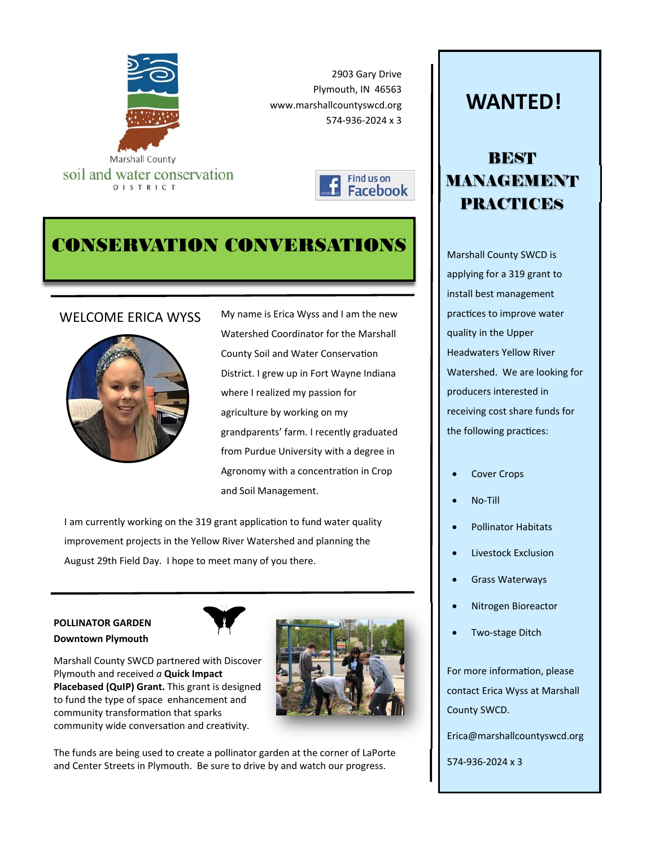





# CONSERVATION CONVERSATIONS



WELCOME ERICA WYSS My name is Erica Wyss and I am the new Watershed Coordinator for the Marshall County Soil and Water Conservation District. I grew up in Fort Wayne Indiana where I realized my passion for agriculture by working on my grandparents' farm. I recently graduated from Purdue University with a degree in Agronomy with a concentration in Crop and Soil Management.

I am currently working on the 319 grant application to fund water quality improvement projects in the Yellow River Watershed and planning the August 29th Field Day. I hope to meet many of you there.

## **POLLINATOR GARDEN Downtown Plymouth**



Marshall County SWCD partnered with Discover Plymouth and received *a* **Quick Impact Placebased (QuIP) Grant.** This grant is designed to fund the type of space enhancement and community transformation that sparks community wide conversation and creativity.



The funds are being used to create a pollinator garden at the corner of LaPorte and Center Streets in Plymouth. Be sure to drive by and watch our progress.

# **WANTED!**

# BEST MANAGEMENT PRACTICES

Marshall County SWCD is applying for a 319 grant to install best management practices to improve water quality in the Upper Headwaters Yellow River Watershed. We are looking for producers interested in receiving cost share funds for the following practices:

- Cover Crops
- No‐Till
- Pollinator Habitats
- Livestock Exclusion
- Grass Waterways
- Nitrogen Bioreactor
- Two‐stage Ditch

For more information, please contact Erica Wyss at Marshall County SWCD.

Erica@marshallcountyswcd.org

574‐936‐2024 x 3